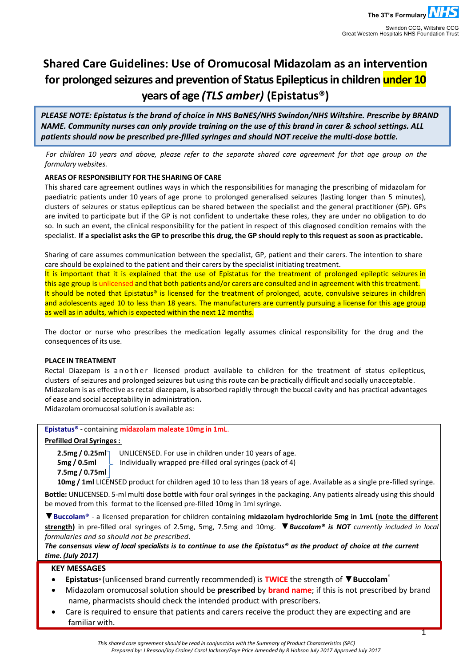# **Shared Care Guidelines: Use of Oromucosal Midazolam as an intervention for prolonged seizures and prevention of Status Epilepticus in children under 10 years of age** *(TLS amber)* **(Epistatus®)**

*PLEASE NOTE: Epistatus is the brand of choice in NHS BaNES/NHS Swindon/NHS Wiltshire. Prescribe by BRAND NAME. Community nurses can only provide training on the use of this brand in carer & school settings. ALL patients should now be prescribed pre-filled syringes and should NOT receive the multi-dose bottle.*

*For children 10 years and above, please refer to the separate shared care agreement for that age group on the formulary websites.*

# **AREAS OF RESPONSIBILITY FOR THE SHARING OF CARE**

This shared care agreement outlines ways in which the responsibilities for managing the prescribing of midazolam for paediatric patients under 10 years of age prone to prolonged generalised seizures (lasting longer than 5 minutes), clusters of seizures or status epilepticus can be shared between the specialist and the general practitioner (GP). GPs are invited to participate but if the GP is not confident to undertake these roles, they are under no obligation to do so. In such an event, the clinical responsibility for the patient in respect of this diagnosed condition remains with the specialist. If a specialist asks the GP to prescribe this drug, the GP should reply to this request as soon as practicable.

Sharing of care assumes communication between the specialist, GP, patient and their carers. The intention to share care should be explained to the patient and their carers by the specialist initiating treatment.

It is important that it is explained that the use of Epistatus for the treatment of prolonged epileptic seizures in this age group is unlicensed and that both patients and/or carers are consulted and in agreement with this treatment. It should be noted that Epistatus® is licensed for the treatment of prolonged, acute, convulsive seizures in children and adolescents aged 10 to less than 18 years. The manufacturers are currently pursuing a license for this age group as well as in adults, which is expected within the next 12 months.

The doctor or nurse who prescribes the medication legally assumes clinical responsibility for the drug and the consequences of its use.

## **PLACE IN TREATMENT**

Rectal Diazepam is a n o the r licensed product available to children for the treatment of status epilepticus, clusters of seizures and prolonged seizures but using thisroute can be practically difficult and socially unacceptable. Midazolam is as effective as rectal diazepam, is absorbed rapidly through the buccal cavity and has practical advantages of ease and social acceptability in administration**.**

Midazolam oromucosal solution is available as:

# **Epistatus®** - containing **midazolam maleate 10mg in 1mL**.

## **Prefilled Oral Syringes:**

**7.5mg / 0.75ml**

**2.5mg / 0.25ml** UNLICENSED. For use in children under 10 years of age.<br>**5mg / 0.5ml** Lindividually wrapped pre-filled oral syringes (pack of 4) **5mg / 0.5ml** Individually wrapped pre-filled oral syringes (pack of 4)

**10mg / 1ml** LICENSED product for children aged 10 to less than 18 years of age. Available as a single pre-filled syringe.

**Bottle:** UNLICENSED. 5-ml multi dose bottle with four oral syringes in the packaging. Any patients already using this should be moved from this format to the licensed pre-filled 10mg in 1ml syringe.

▼**Buccolam®** - a licensed preparation for children containing **midazolam hydrochloride 5mg in 1mL (note the different strength)** in pre-filled oral syringes of 2.5mg, 5mg, 7.5mg and 10mg. ▼*Buccolam® is NOT currently included in local formularies and so should not be prescribed.*

*The consensus view of local specialists is to continue to use the Epistatus® as the product of choice at the current time. (July 2017)*

# **KEY MESSAGES**

- **Epistatus®** (unlicensed brand currently recommended) is **TWICE** the strength of ▼**Buccolam** ®
- Midazolam oromucosal solution should be **prescribed** by **brand name**; if this is not prescribed by brand name, pharmacists should check the intended product with prescribers.
- Care is required to ensure that patients and carers receive the product they are expecting and are familiar with.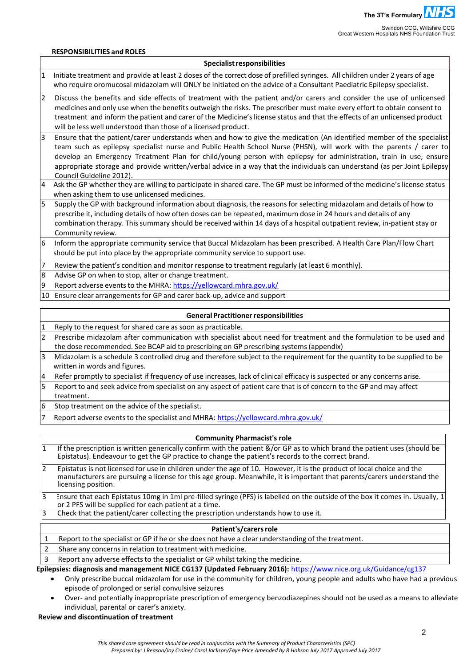#### **RESPONSIBILITIES and ROLES**

#### **Specialistresponsibilities**

- 1 Initiate treatment and provide at least 2 doses of the correct dose of prefilled syringes. All children under 2 years of age who require oromucosal midazolam will ONLY be initiated on the advice of a Consultant Paediatric Epilepsy specialist.
- 2 Discuss the benefits and side effects of treatment with the patient and/or carers and consider the use of unlicensed medicines and only use when the benefits outweigh the risks. The prescriber must make every effort to obtain consent to treatment and inform the patient and carer of the Medicine'slicense status and that the effects of an unlicensed product will be less well understood than those of a licensed product.
- 3 Ensure that the patient/carer understands when and how to give the medication (An identified member of the specialist team such as epilepsy specialist nurse and Public Health School Nurse (PHSN), will work with the parents / carer to develop an Emergency Treatment Plan for child/young person with epilepsy for administration, train in use, ensure appropriate storage and provide written/verbal advice in a way that the individuals can understand (as per Joint Epilepsy Council Guideline 2012).
- 4 Ask the GP whether they are willing to participate in shared care. The GP must be informed of the medicine's license status when asking them to use unlicensed medicines.
- Supply the GP with background information about diagnosis, the reasons for selecting midazolam and details of how to prescribe it, including details of how often doses can be repeated, maximum dose in 24 hours and details of any combination therapy. Thissummary should be received within 14 days of a hospital outpatient review, in-patient stay or Community review.
- 6 Inform the appropriate community service that Buccal Midazolam has been prescribed. A Health Care Plan/Flow Chart should be put into place by the appropriate community service to support use.
- Review the patient's condition and monitor response to treatment regularly (at least 6 monthly).
- 8 Advise GP on when to stop, alter or change treatment.
- 9 Report adverse events to the MHRA: <https://yellowcard.mhra.gov.uk/>
- 10 Ensure clear arrangementsfor GP and carer back-up, advice and support

#### **General Practitioner responsibilities**

- Reply to the request for shared care as soon as practicable.
- 2 Prescribe midazolam after communication with specialist about need for treatment and the formulation to be used and the dose recommended. See BCAP aid to prescribing on GP prescribing systems (appendix)
- 3 Midazolam is a schedule 3 controlled drug and therefore subject to the requirement for the quantity to be supplied to be written in words and figures.
- 4 Refer promptly to specialist if frequency of use increases, lack of clinical efficacy is suspected or any concerns arise.
- 5 Report to and seek advice from specialist on any aspect of patient care that is of concern to the GP and may affect treatment.
- 6 Stop treatment on the advice of the specialist.
- Report adverse events to the specialist and MHRA:<https://yellowcard.mhra.gov.uk/>

#### **Community Pharmacist's role**

- 1 If the prescription is written generically confirm with the patient &/or GP as to which brand the patient uses (should be Epistatus). Endeavour to get the GP practice to change the patient's records to the correct brand.
- 2 Epistatus is not licensed for use in children under the age of 10. However, it is the product of local choice and the manufacturers are pursuing a license for this age group. Meanwhile, it is important that parents/carers understand the licensing position.
- 3 Ensure that each Epistatus 10mg in 1ml pre-filled syringe (PFS) is labelled on the outside of the box it comes in. Usually, 1 or 2 PFS will be supplied for each patient at a time.
- 3 Check that the patient/carer collecting the prescription understands how to use it.

#### Patient's/carers role

- 1 Report to the specialist or GP if he or she does not have a clear understanding of the treatment.
- 2 Share any concerns in relation to treatment with medicine.
- 3 Report any adverse effectsto the specialist or GP whilst taking the medicine.

**Epilepsies: diagnosis and management NICE CG137 (Updated February 2016):** <https://www.nice.org.uk/Guidance/cg137>

- Only prescribe buccal midazolam for use in the community for children, young people and adults who have had a previous episode of prolonged or serial convulsive seizures
- Over- and potentially inappropriate prescription of emergency benzodiazepines should not be used as a means to alleviate individual, parental or carer's anxiety.

## **Review and discontinuation of treatment**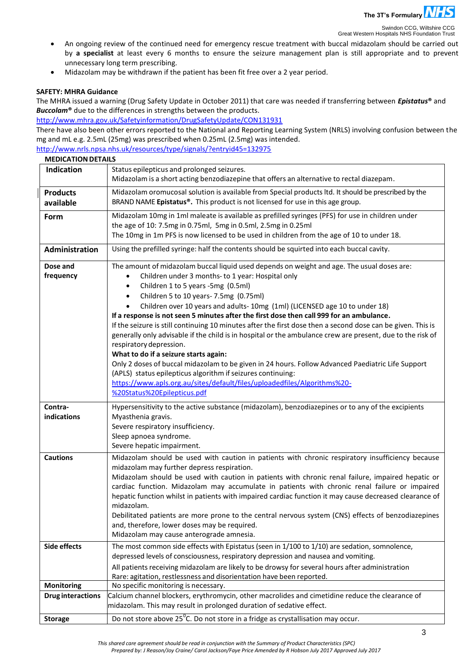

Swindon CCG, Wiltshire CCG<br>Great Western Hospitals NHS Foundation Trust

- An ongoing review of the continued need for emergency rescue treatment with buccal midazolam should be carried out by **a specialist** at least every 6 months to ensure the seizure management plan is still appropriate and to prevent unnecessary long term prescribing.
- Midazolam may be withdrawn if the patient has been fit free over a 2 year period.

### **SAFETY: MHRA Guidance**

The MHRA issued a warning (Drug Safety Update in October 2011) that care was needed if transferring between *Epistatus***®** and *Buccolam***®** due to the differences in strengths between the products.

<http://www.mhra.gov.uk/Safetyinformation/DrugSafetyUpdate/CON131931>

There have also been other errors reported to the National and Reporting Learning System (NRLS) involving confusion between the mg and mL e.g. 2.5mL (25mg) was prescribed when 0.25mL (2.5mg) was intended.

<http://www.nrls.npsa.nhs.uk/resources/type/signals/?entryid45=132975>

| <b>MEDICATION DETAILS</b>    |                                                                                                                                                                                                                                                                                                                                                                                                                                                                                                                                                                                                                                                                                                                                                                                                                                                                                                                                                                                                                                              |  |  |  |  |
|------------------------------|----------------------------------------------------------------------------------------------------------------------------------------------------------------------------------------------------------------------------------------------------------------------------------------------------------------------------------------------------------------------------------------------------------------------------------------------------------------------------------------------------------------------------------------------------------------------------------------------------------------------------------------------------------------------------------------------------------------------------------------------------------------------------------------------------------------------------------------------------------------------------------------------------------------------------------------------------------------------------------------------------------------------------------------------|--|--|--|--|
| Indication                   | Status epilepticus and prolonged seizures.<br>Midazolam is a short acting benzodiazepine that offers an alternative to rectal diazepam.                                                                                                                                                                                                                                                                                                                                                                                                                                                                                                                                                                                                                                                                                                                                                                                                                                                                                                      |  |  |  |  |
| <b>Products</b><br>available | Midazolam oromucosal solution is available from Special products ltd. It should be prescribed by the<br>BRAND NAME Epistatus®. This product is not licensed for use in this age group.                                                                                                                                                                                                                                                                                                                                                                                                                                                                                                                                                                                                                                                                                                                                                                                                                                                       |  |  |  |  |
| Form                         | Midazolam 10mg in 1ml maleate is available as prefilled syringes (PFS) for use in children under<br>the age of 10: 7.5mg in 0.75ml, 5mg in 0.5ml, 2.5mg in 0.25ml<br>The 10mg in 1m PFS is now licensed to be used in children from the age of 10 to under 18.                                                                                                                                                                                                                                                                                                                                                                                                                                                                                                                                                                                                                                                                                                                                                                               |  |  |  |  |
| <b>Administration</b>        | Using the prefilled syringe: half the contents should be squirted into each buccal cavity.                                                                                                                                                                                                                                                                                                                                                                                                                                                                                                                                                                                                                                                                                                                                                                                                                                                                                                                                                   |  |  |  |  |
| Dose and<br>frequency        | The amount of midazolam buccal liquid used depends on weight and age. The usual doses are:<br>Children under 3 months- to 1 year: Hospital only<br>$\bullet$<br>Children 1 to 5 years -5mg (0.5ml)<br>$\bullet$<br>Children 5 to 10 years-7.5mg (0.75ml)<br>$\bullet$<br>Children over 10 years and adults-10mg (1ml) (LICENSED age 10 to under 18)<br>$\bullet$<br>If a response is not seen 5 minutes after the first dose then call 999 for an ambulance.<br>If the seizure is still continuing 10 minutes after the first dose then a second dose can be given. This is<br>generally only advisable if the child is in hospital or the ambulance crew are present, due to the risk of<br>respiratory depression.<br>What to do if a seizure starts again:<br>Only 2 doses of buccal midazolam to be given in 24 hours. Follow Advanced Paediatric Life Support<br>(APLS) status epilepticus algorithm if seizures continuing:<br>https://www.apls.org.au/sites/default/files/uploadedfiles/Algorithms%20-<br>%20Status%20Epilepticus.pdf |  |  |  |  |
| Contra-                      | Hypersensitivity to the active substance (midazolam), benzodiazepines or to any of the excipients                                                                                                                                                                                                                                                                                                                                                                                                                                                                                                                                                                                                                                                                                                                                                                                                                                                                                                                                            |  |  |  |  |
| indications                  | Myasthenia gravis.<br>Severe respiratory insufficiency.<br>Sleep apnoea syndrome.<br>Severe hepatic impairment.                                                                                                                                                                                                                                                                                                                                                                                                                                                                                                                                                                                                                                                                                                                                                                                                                                                                                                                              |  |  |  |  |
| <b>Cautions</b>              | Midazolam should be used with caution in patients with chronic respiratory insufficiency because<br>midazolam may further depress respiration.<br>Midazolam should be used with caution in patients with chronic renal failure, impaired hepatic or<br>cardiac function. Midazolam may accumulate in patients with chronic renal failure or impaired<br>hepatic function whilst in patients with impaired cardiac function it may cause decreased clearance of<br>midazolam.<br>Debilitated patients are more prone to the central nervous system (CNS) effects of benzodiazepines<br>and, therefore, lower doses may be required.<br>Midazolam may cause anterograde amnesia.                                                                                                                                                                                                                                                                                                                                                               |  |  |  |  |
| <b>Side effects</b>          | The most common side effects with Epistatus (seen in 1/100 to 1/10) are sedation, somnolence,<br>depressed levels of consciousness, respiratory depression and nausea and vomiting.<br>All patients receiving midazolam are likely to be drowsy for several hours after administration                                                                                                                                                                                                                                                                                                                                                                                                                                                                                                                                                                                                                                                                                                                                                       |  |  |  |  |
|                              | Rare: agitation, restlessness and disorientation have been reported.                                                                                                                                                                                                                                                                                                                                                                                                                                                                                                                                                                                                                                                                                                                                                                                                                                                                                                                                                                         |  |  |  |  |
| <b>Monitoring</b>            | No specific monitoring is necessary.<br>Calcium channel blockers, erythromycin, other macrolides and cimetidine reduce the clearance of                                                                                                                                                                                                                                                                                                                                                                                                                                                                                                                                                                                                                                                                                                                                                                                                                                                                                                      |  |  |  |  |
| <b>Drug interactions</b>     | midazolam. This may result in prolonged duration of sedative effect.                                                                                                                                                                                                                                                                                                                                                                                                                                                                                                                                                                                                                                                                                                                                                                                                                                                                                                                                                                         |  |  |  |  |
| <b>Storage</b>               | Do not store above 25 <sup>°</sup> C. Do not store in a fridge as crystallisation may occur.                                                                                                                                                                                                                                                                                                                                                                                                                                                                                                                                                                                                                                                                                                                                                                                                                                                                                                                                                 |  |  |  |  |

*This shared care agreement should be read in conjunction with the Summary of Product Characteristics (SPC) Prepared by: J Reason/Joy Craine/ Carol Jackson/Faye Price Amended by R Hobson July 2017 Approved July 2017*